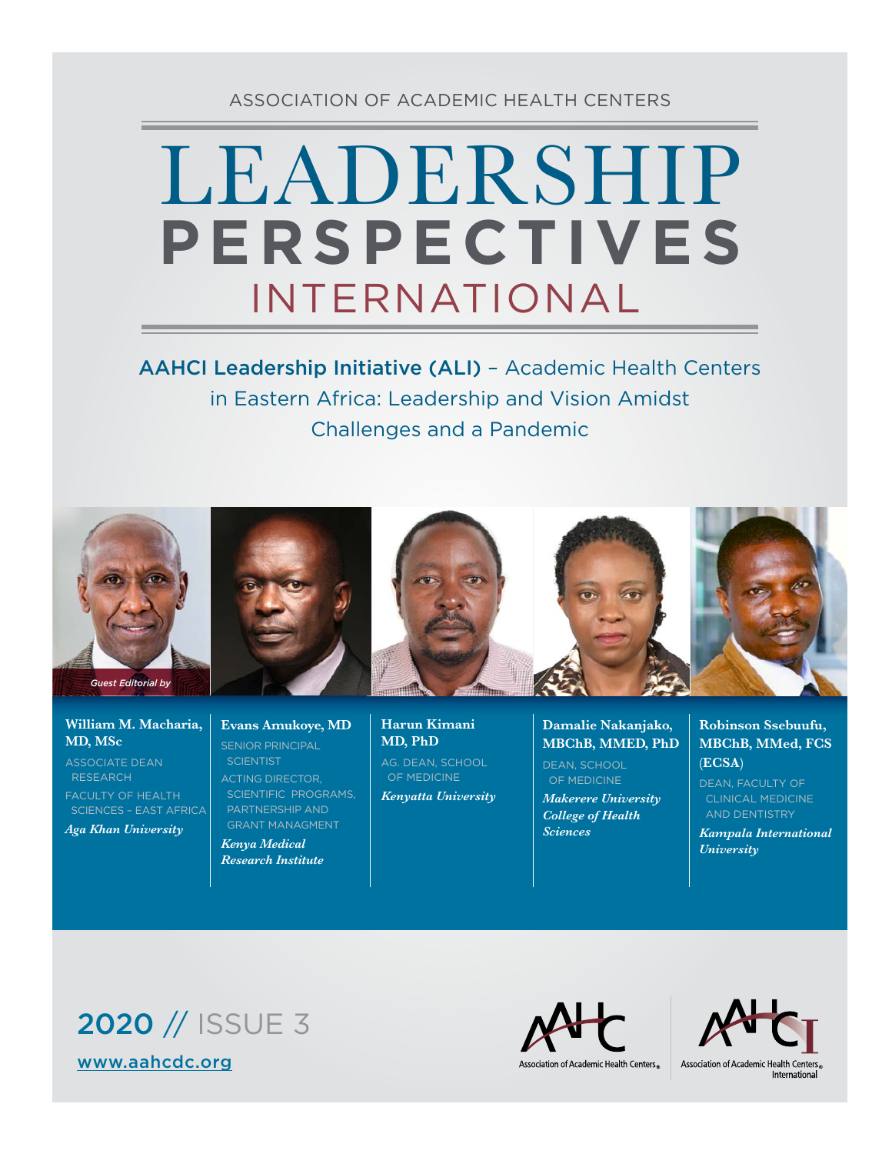### ASSOCIATION OF ACADEMIC HEALTH CENTERS

# LEADERSHIP INTERNATIONAL **PERSPECTIVES**

AAHCI Leadership Initiative (ALI) – Academic Health Centers in Eastern Africa: Leadership and Vision Amidst Challenges and a Pandemic



#### **William M. Macharia, MD, MSc**

ASSOCIATE DEAN RESEARCH FACULTY OF HEALTH SCIENCES – EAST AFRICA *Aga Khan University* 

#### **Evans Amukoye, MD** SENIOR PRINCIPAL **SCIENTIST** ACTING DIRECTOR,

 SCIENTIFIC PROGRAMS, PARTNERSHIP AND GRANT MANAGMENT

*Kenya Medical Research Institute* **Harun Kimani MD, PhD**  AG. DEAN, SCHOOL OF MEDICINE *Kenyatta University* **Damalie Nakanjako, MBChB, MMED, PhD** DEAN, SCHOOL

 OF MEDICINE *Makerere University College of Health Sciences*

**Robinson Ssebuufu, MBChB, MMed, FCS (ECSA)**

DEAN, FACULTY OF CLINICAL MEDICINE AND DENTISTRY

*Kampala International University*

# 2020 // ISSUE 3 [www.aahcdc.org](http://www.aahcdc.org)



Association of Academic Health Centers®



&Association of Academic Health Centers<br>International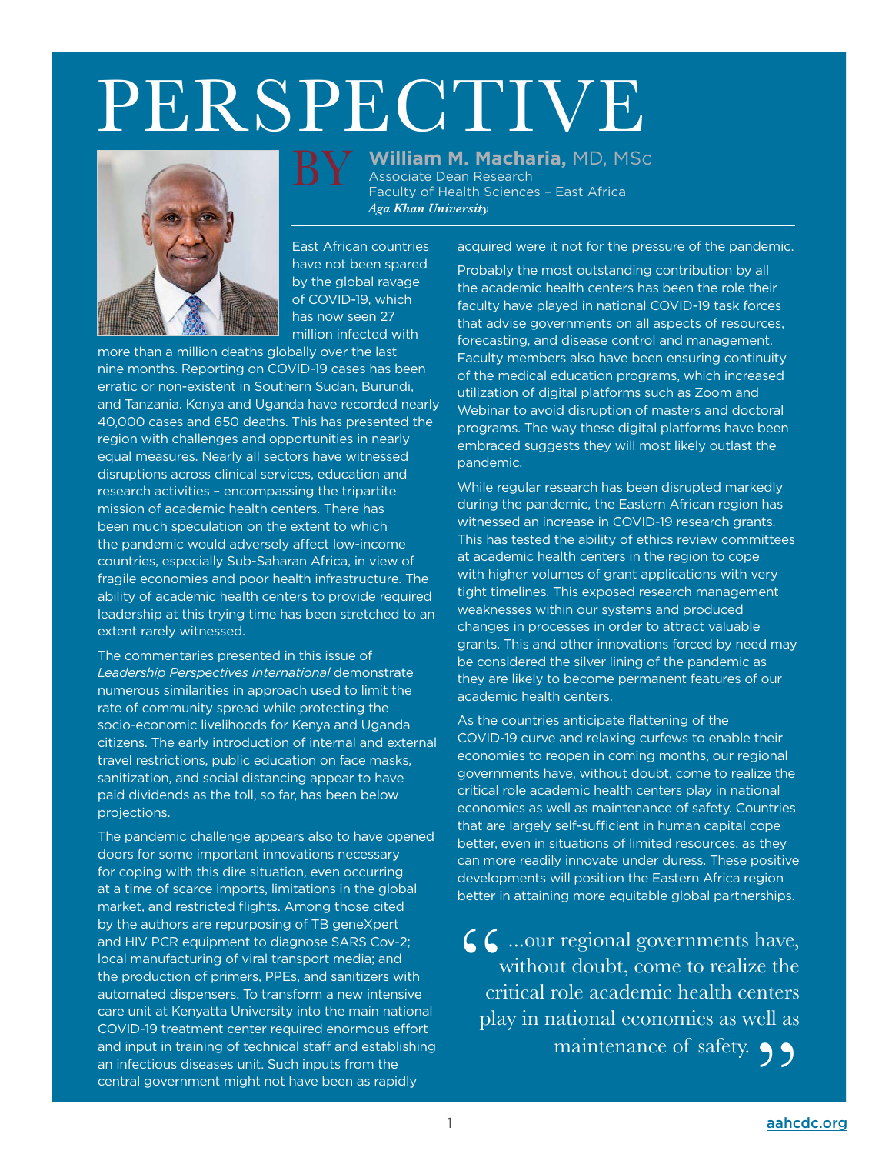# PERSPECTIVE



BY

Associate Dean Research Faculty of Health Sciences – East Africa *Aga Khan University* 

**William M. Macharia,** MD, MSc

East African countries have not been spared by the global ravage of COVID-19, which has now seen 27 million infected with

more than a million deaths globally over the last nine months. Reporting on COVID-19 cases has been erratic or non-existent in Southern Sudan, Burundi, and Tanzania. Kenya and Uganda have recorded nearly 40,000 cases and 650 deaths. This has presented the region with challenges and opportunities in nearly equal measures. Nearly all sectors have witnessed disruptions across clinical services, education and research activities – encompassing the tripartite mission of academic health centers. There has been much speculation on the extent to which the pandemic would adversely affect low-income countries, especially Sub-Saharan Africa, in view of fragile economies and poor health infrastructure. The ability of academic health centers to provide required leadership at this trying time has been stretched to an extent rarely witnessed.

The commentaries presented in this issue of *Leadership Perspectives International* demonstrate numerous similarities in approach used to limit the rate of community spread while protecting the socio-economic livelihoods for Kenya and Uganda citizens. The early introduction of internal and external travel restrictions, public education on face masks, sanitization, and social distancing appear to have paid dividends as the toll, so far, has been below projections.

The pandemic challenge appears also to have opened doors for some important innovations necessary for coping with this dire situation, even occurring at a time of scarce imports, limitations in the global market, and restricted flights. Among those cited by the authors are repurposing of TB geneXpert and HIV PCR equipment to diagnose SARS Cov-2; local manufacturing of viral transport media; and the production of primers, PPEs, and sanitizers with automated dispensers. To transform a new intensive care unit at Kenyatta University into the main national COVID-19 treatment center required enormous effort and input in training of technical staff and establishing an infectious diseases unit. Such inputs from the central government might not have been as rapidly

acquired were it not for the pressure of the pandemic.

Probably the most outstanding contribution by all the academic health centers has been the role their faculty have played in national COVID-19 task forces that advise governments on all aspects of resources, forecasting, and disease control and management. Faculty members also have been ensuring continuity of the medical education programs, which increased utilization of digital platforms such as Zoom and Webinar to avoid disruption of masters and doctoral programs. The way these digital platforms have been embraced suggests they will most likely outlast the pandemic.

While regular research has been disrupted markedly during the pandemic, the Eastern African region has witnessed an increase in COVID-19 research grants. This has tested the ability of ethics review committees at academic health centers in the region to cope with higher volumes of grant applications with very tight timelines. This exposed research management weaknesses within our systems and produced changes in processes in order to attract valuable grants. This and other innovations forced by need may be considered the silver lining of the pandemic as they are likely to become permanent features of our academic health centers.

As the countries anticipate flattening of the COVID-19 curve and relaxing curfews to enable their economies to reopen in coming months, our regional governments have, without doubt, come to realize the critical role academic health centers play in national economies as well as maintenance of safety. Countries that are largely self-sufficient in human capital cope better, even in situations of limited resources, as they can more readily innovate under duress. These positive developments will position the Eastern Africa region better in attaining more equitable global partnerships.

 $\mathcal{L}$  ...our regional governments have, without doubt, come to realize the critical role academic health centers play in national economies as well as maintenance of safety.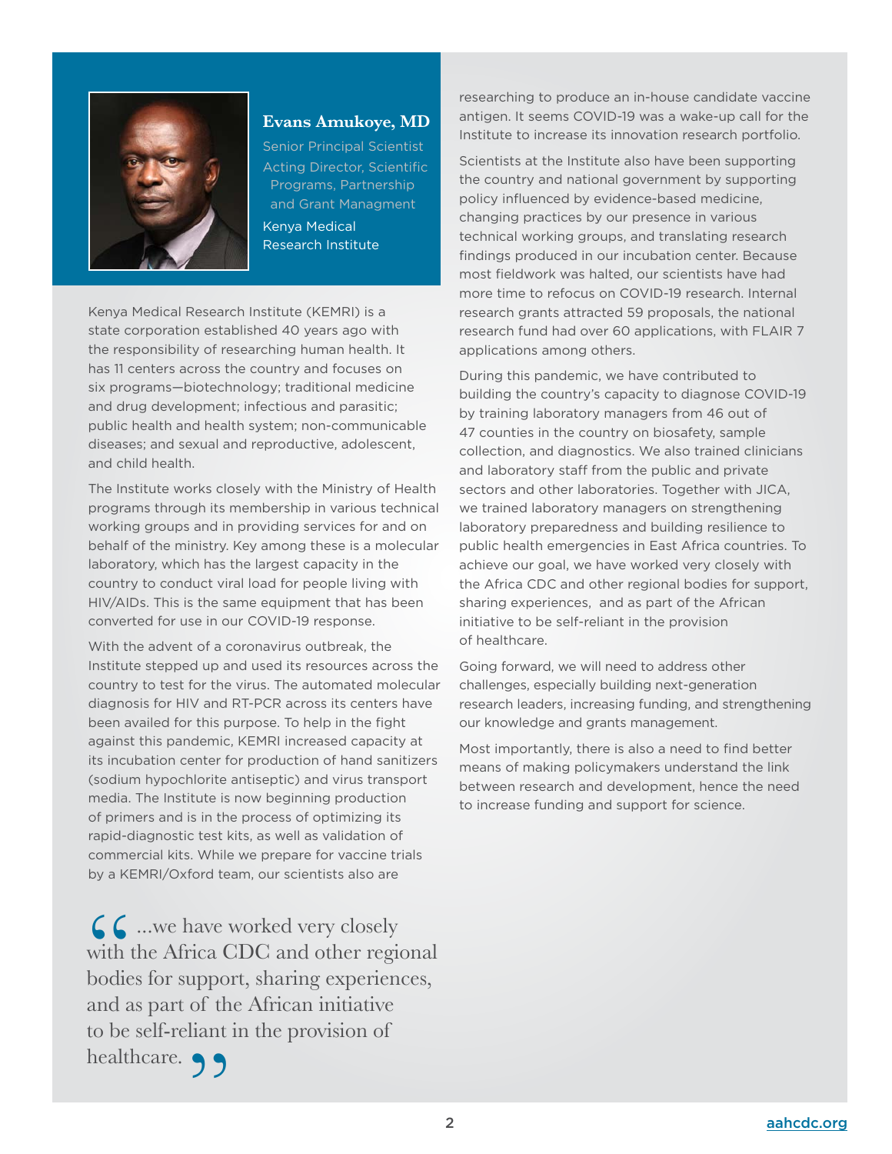

#### **Evans Amukoye, MD**

Senior Principal Scientist Acting Director, Scientific Programs, Partnership and Grant Managment Kenya Medical Research Institute

Kenya Medical Research Institute (KEMRI) is a state corporation established 40 years ago with the responsibility of researching human health. It has 11 centers across the country and focuses on six programs—biotechnology; traditional medicine and drug development; infectious and parasitic; public health and health system; non-communicable diseases; and sexual and reproductive, adolescent, and child health.

The Institute works closely with the Ministry of Health programs through its membership in various technical working groups and in providing services for and on behalf of the ministry. Key among these is a molecular laboratory, which has the largest capacity in the country to conduct viral load for people living with HIV/AIDs. This is the same equipment that has been converted for use in our COVID-19 response.

With the advent of a coronavirus outbreak, the Institute stepped up and used its resources across the country to test for the virus. The automated molecular diagnosis for HIV and RT-PCR across its centers have been availed for this purpose. To help in the fight against this pandemic, KEMRI increased capacity at its incubation center for production of hand sanitizers (sodium hypochlorite antiseptic) and virus transport media. The Institute is now beginning production of primers and is in the process of optimizing its rapid-diagnostic test kits, as well as validation of commercial kits. While we prepare for vaccine trials by a KEMRI/Oxford team, our scientists also are

 $\begin{array}{c} \bigcup \bullet$  ...we have worked very closely<br>with the Africa CDC and other regio<br>bodies for support, sharing experience with the Africa CDC and other regional bodies for support, sharing experiences, and as part of the African initiative to be self-reliant in the provision of healthcare. 99

researching to produce an in-house candidate vaccine antigen. It seems COVID-19 was a wake-up call for the Institute to increase its innovation research portfolio.

Scientists at the Institute also have been supporting the country and national government by supporting policy influenced by evidence-based medicine, changing practices by our presence in various technical working groups, and translating research findings produced in our incubation center. Because most fieldwork was halted, our scientists have had more time to refocus on COVID-19 research. Internal research grants attracted 59 proposals, the national research fund had over 60 applications, with FLAIR 7 applications among others.

During this pandemic, we have contributed to building the country's capacity to diagnose COVID-19 by training laboratory managers from 46 out of 47 counties in the country on biosafety, sample collection, and diagnostics. We also trained clinicians and laboratory staff from the public and private sectors and other laboratories. Together with JICA, we trained laboratory managers on strengthening laboratory preparedness and building resilience to public health emergencies in East Africa countries. To achieve our goal, we have worked very closely with the Africa CDC and other regional bodies for support, sharing experiences, and as part of the African initiative to be self-reliant in the provision of healthcare.

Going forward, we will need to address other challenges, especially building next-generation research leaders, increasing funding, and strengthening our knowledge and grants management.

Most importantly, there is also a need to find better means of making policymakers understand the link between research and development, hence the need to increase funding and support for science.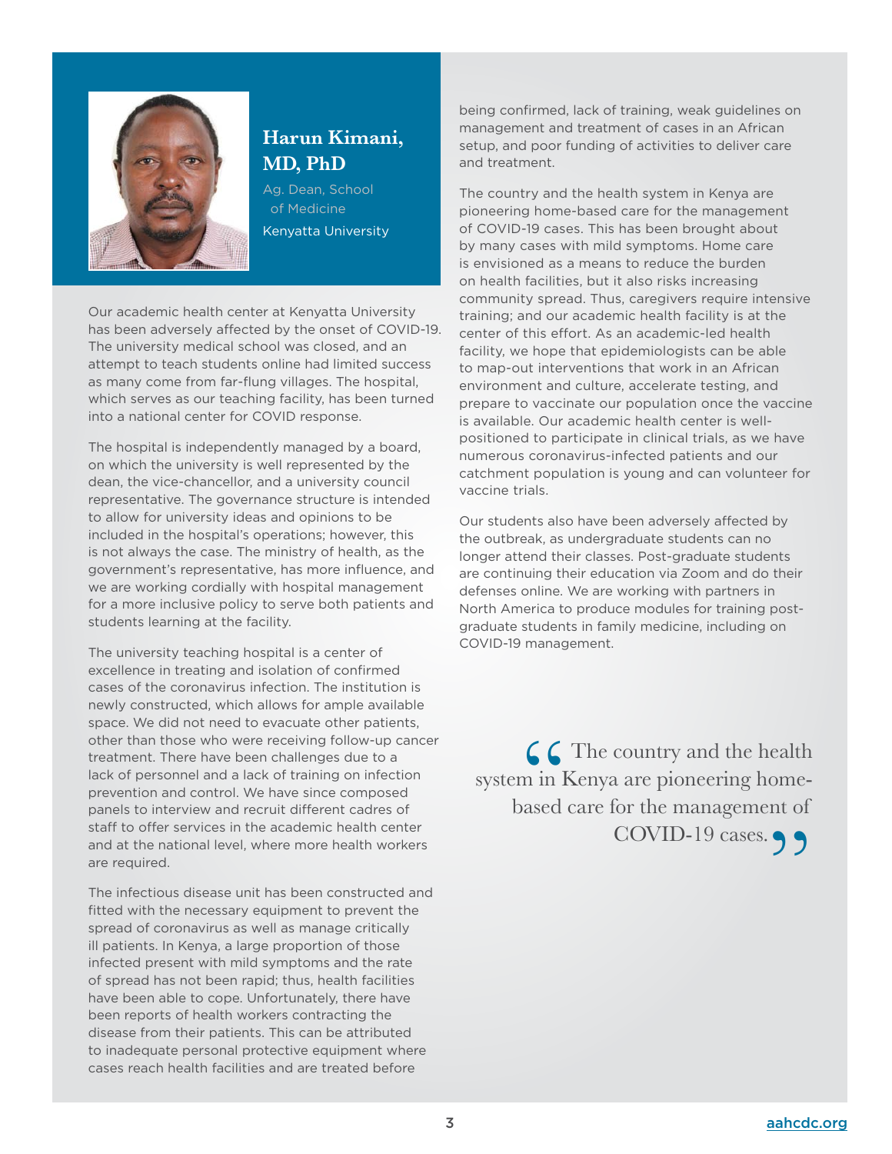

## **Harun Kimani, MD, PhD**

Ag. Dean, School of Medicine Kenyatta University

Our academic health center at Kenyatta University has been adversely affected by the onset of COVID-19. The university medical school was closed, and an attempt to teach students online had limited success as many come from far-flung villages. The hospital, which serves as our teaching facility, has been turned into a national center for COVID response.

The hospital is independently managed by a board, on which the university is well represented by the dean, the vice-chancellor, and a university council representative. The governance structure is intended to allow for university ideas and opinions to be included in the hospital's operations; however, this is not always the case. The ministry of health, as the government's representative, has more influence, and we are working cordially with hospital management for a more inclusive policy to serve both patients and students learning at the facility.

The university teaching hospital is a center of excellence in treating and isolation of confirmed cases of the coronavirus infection. The institution is newly constructed, which allows for ample available space. We did not need to evacuate other patients, other than those who were receiving follow-up cancer treatment. There have been challenges due to a lack of personnel and a lack of training on infection prevention and control. We have since composed panels to interview and recruit different cadres of staff to offer services in the academic health center and at the national level, where more health workers are required.

The infectious disease unit has been constructed and fitted with the necessary equipment to prevent the spread of coronavirus as well as manage critically ill patients. In Kenya, a large proportion of those infected present with mild symptoms and the rate of spread has not been rapid; thus, health facilities have been able to cope. Unfortunately, there have been reports of health workers contracting the disease from their patients. This can be attributed to inadequate personal protective equipment where cases reach health facilities and are treated before

being confirmed, lack of training, weak guidelines on management and treatment of cases in an African setup, and poor funding of activities to deliver care and treatment.

The country and the health system in Kenya are pioneering home-based care for the management of COVID-19 cases. This has been brought about by many cases with mild symptoms. Home care is envisioned as a means to reduce the burden on health facilities, but it also risks increasing community spread. Thus, caregivers require intensive training; and our academic health facility is at the center of this effort. As an academic-led health facility, we hope that epidemiologists can be able to map-out interventions that work in an African environment and culture, accelerate testing, and prepare to vaccinate our population once the vaccine is available. Our academic health center is wellpositioned to participate in clinical trials, as we have numerous coronavirus-infected patients and our catchment population is young and can volunteer for vaccine trials.

Our students also have been adversely affected by the outbreak, as undergraduate students can no longer attend their classes. Post-graduate students are continuing their education via Zoom and do their defenses online. We are working with partners in North America to produce modules for training postgraduate students in family medicine, including on COVID-19 management.

 $\begin{array}{c} \begin{array}{c} \text{\Large $\big\mathsf{G}$} \end{array} \end{array}$  The country and the health m in Kenya are pioneering home-<br>ased care for the management of system in Kenya are pioneering homebased care for the management of COVID-19 cases. 99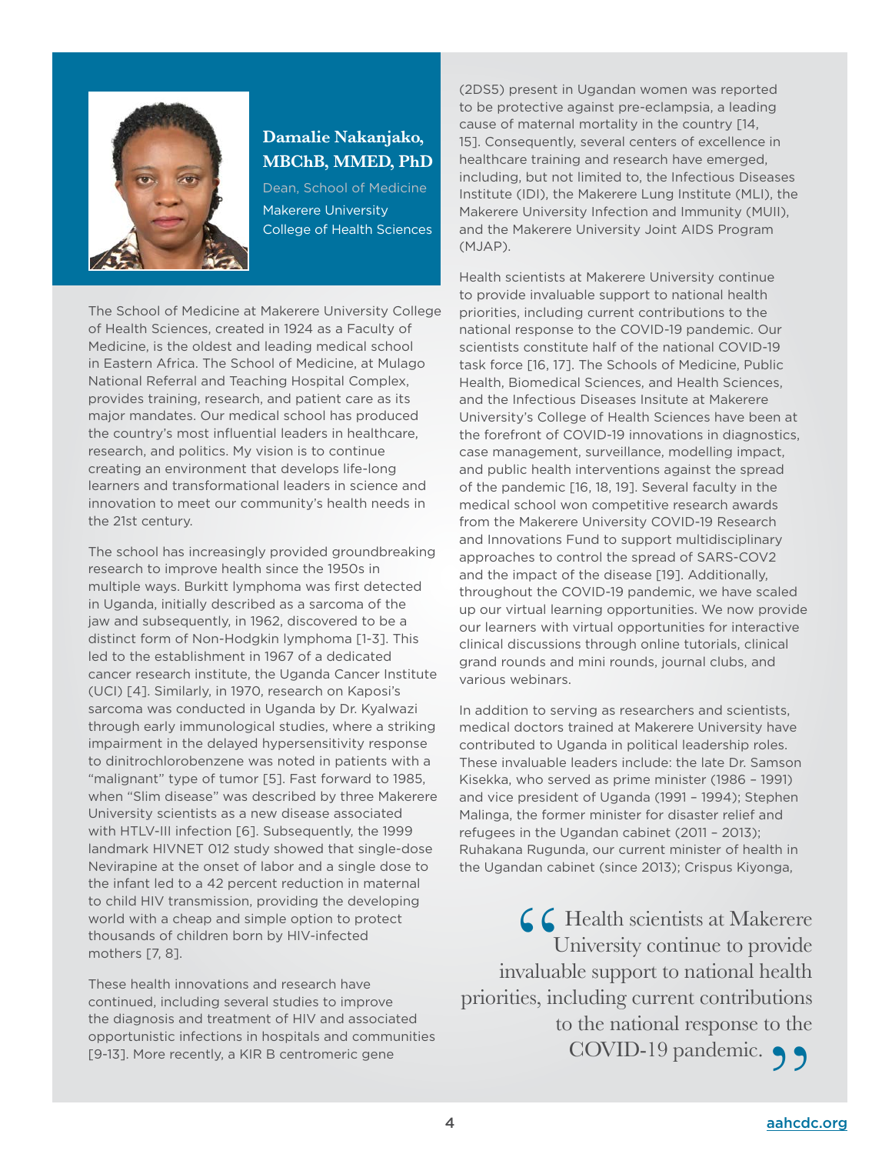

### **Damalie Nakanjako, MBChB, MMED, PhD**

Dean, School of Medicine Makerere University College of Health Sciences

The School of Medicine at Makerere University College of Health Sciences, created in 1924 as a Faculty of Medicine, is the oldest and leading medical school in Eastern Africa. The School of Medicine, at Mulago National Referral and Teaching Hospital Complex, provides training, research, and patient care as its major mandates. Our medical school has produced the country's most influential leaders in healthcare, research, and politics. My vision is to continue creating an environment that develops life-long learners and transformational leaders in science and innovation to meet our community's health needs in the 21st century.

The school has increasingly provided groundbreaking research to improve health since the 1950s in multiple ways. Burkitt lymphoma was first detected in Uganda, initially described as a sarcoma of the jaw and subsequently, in 1962, discovered to be a distinct form of Non-Hodgkin lymphoma [1-3]. This led to the establishment in 1967 of a dedicated cancer research institute, the Uganda Cancer Institute (UCI) [4]. Similarly, in 1970, research on Kaposi's sarcoma was conducted in Uganda by Dr. Kyalwazi through early immunological studies, where a striking impairment in the delayed hypersensitivity response to dinitrochlorobenzene was noted in patients with a "malignant" type of tumor [5]. Fast forward to 1985, when "Slim disease" was described by three Makerere University scientists as a new disease associated with HTLV-III infection [6]. Subsequently, the 1999 landmark HIVNET 012 study showed that single-dose Nevirapine at the onset of labor and a single dose to the infant led to a 42 percent reduction in maternal to child HIV transmission, providing the developing world with a cheap and simple option to protect thousands of children born by HIV-infected mothers [7, 8].

These health innovations and research have continued, including several studies to improve the diagnosis and treatment of HIV and associated opportunistic infections in hospitals and communities [9-13]. More recently, a KIR B centromeric gene

(2DS5) present in Ugandan women was reported to be protective against pre-eclampsia, a leading cause of maternal mortality in the country [14, 15]. Consequently, several centers of excellence in healthcare training and research have emerged, including, but not limited to, the Infectious Diseases Institute (IDI), the Makerere Lung Institute (MLI), the Makerere University Infection and Immunity (MUII), and the Makerere University Joint AIDS Program (MJAP).

Health scientists at Makerere University continue to provide invaluable support to national health priorities, including current contributions to the national response to the COVID-19 pandemic. Our scientists constitute half of the national COVID-19 task force [16, 17]. The Schools of Medicine, Public Health, Biomedical Sciences, and Health Sciences, and the Infectious Diseases Insitute at Makerere University's College of Health Sciences have been at the forefront of COVID-19 innovations in diagnostics, case management, surveillance, modelling impact, and public health interventions against the spread of the pandemic [16, 18, 19]. Several faculty in the medical school won competitive research awards from the Makerere University COVID-19 Research and Innovations Fund to support multidisciplinary approaches to control the spread of SARS-COV2 and the impact of the disease [19]. Additionally, throughout the COVID-19 pandemic, we have scaled up our virtual learning opportunities. We now provide our learners with virtual opportunities for interactive clinical discussions through online tutorials, clinical grand rounds and mini rounds, journal clubs, and various webinars.

In addition to serving as researchers and scientists, medical doctors trained at Makerere University have contributed to Uganda in political leadership roles. These invaluable leaders include: the late Dr. Samson Kisekka, who served as prime minister (1986 – 1991) and vice president of Uganda (1991 – 1994); Stephen Malinga, the former minister for disaster relief and refugees in the Ugandan cabinet (2011 – 2013); Ruhakana Rugunda, our current minister of health in the Ugandan cabinet (since 2013); Crispus Kiyonga,

 $\bigcap$  Health scientists at Makerere University continue to provide invaluable support to national health priorities, including current contributions to the national response to the COVID-19 pandemic.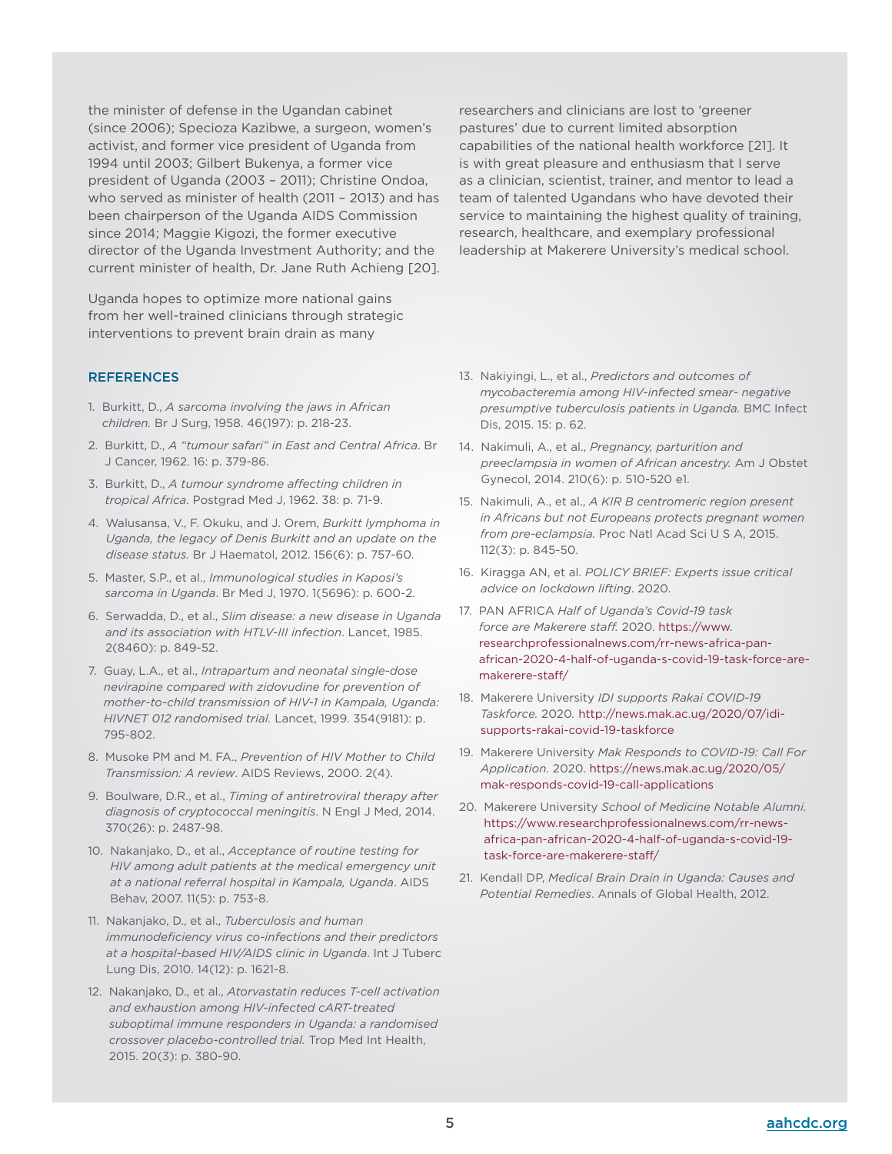the minister of defense in the Ugandan cabinet (since 2006); Specioza Kazibwe, a surgeon, women's activist, and former vice president of Uganda from 1994 until 2003; Gilbert Bukenya, a former vice president of Uganda (2003 – 2011); Christine Ondoa, who served as minister of health (2011 – 2013) and has been chairperson of the Uganda AIDS Commission since 2014; Maggie Kigozi, the former executive director of the Uganda Investment Authority; and the current minister of health, Dr. Jane Ruth Achieng [20].

Uganda hopes to optimize more national gains from her well-trained clinicians through strategic interventions to prevent brain drain as many

#### **REFERENCES**

- 1. Burkitt, D., *A sarcoma involving the jaws in African children.* Br J Surg, 1958. 46(197): p. 218-23.
- 2. Burkitt, D., *A "tumour safari" in East and Central Africa*. Br J Cancer, 1962. 16: p. 379-86.
- 3. Burkitt, D., *A tumour syndrome affecting children in tropical Africa*. Postgrad Med J, 1962. 38: p. 71-9.
- 4. Walusansa, V., F. Okuku, and J. Orem, *Burkitt lymphoma in Uganda, the legacy of Denis Burkitt and an update on the disease status.* Br J Haematol, 2012. 156(6): p. 757-60.
- 5. Master, S.P., et al., *Immunological studies in Kaposi's sarcoma in Uganda*. Br Med J, 1970. 1(5696): p. 600-2.
- 6. Serwadda, D., et al., *Slim disease: a new disease in Uganda and its association with HTLV-III infection*. Lancet, 1985. 2(8460): p. 849-52.
- 7. Guay, L.A., et al., *Intrapartum and neonatal single-dose nevirapine compared with zidovudine for prevention of mother-to-child transmission of HIV-1 in Kampala, Uganda: HIVNET 012 randomised trial.* Lancet, 1999. 354(9181): p. 795-802.
- 8. Musoke PM and M. FA., *Prevention of HIV Mother to Child Transmission: A review*. AIDS Reviews, 2000. 2(4).
- 9. Boulware, D.R., et al., *Timing of antiretroviral therapy after diagnosis of cryptococcal meningitis*. N Engl J Med, 2014. 370(26): p. 2487-98.
- 10. Nakanjako, D., et al., *Acceptance of routine testing for HIV among adult patients at the medical emergency unit at a national referral hospital in Kampala, Uganda*. AIDS Behav, 2007. 11(5): p. 753-8.
- 11. Nakanjako, D., et al., *Tuberculosis and human immunodeficiency virus co-infections and their predictors at a hospital-based HIV/AIDS clinic in Uganda*. Int J Tuberc Lung Dis, 2010. 14(12): p. 1621-8.
- 12. Nakanjako, D., et al., *Atorvastatin reduces T-cell activation and exhaustion among HIV-infected cART-treated suboptimal immune responders in Uganda: a randomised crossover placebo-controlled trial.* Trop Med Int Health, 2015. 20(3): p. 380-90.

researchers and clinicians are lost to 'greener pastures' due to current limited absorption capabilities of the national health workforce [21]. It is with great pleasure and enthusiasm that I serve as a clinician, scientist, trainer, and mentor to lead a team of talented Ugandans who have devoted their service to maintaining the highest quality of training, research, healthcare, and exemplary professional leadership at Makerere University's medical school.

- 13. Nakiyingi, L., et al., *Predictors and outcomes of mycobacteremia among HIV-infected smear- negative presumptive tuberculosis patients in Uganda.* BMC Infect Dis, 2015. 15: p. 62.
- 14. Nakimuli, A., et al., *Pregnancy, parturition and preeclampsia in women of African ancestry.* Am J Obstet Gynecol, 2014. 210(6): p. 510-520 e1.
- 15. Nakimuli, A., et al., *A KIR B centromeric region present in Africans but not Europeans protects pregnant women from pre-eclampsia.* Proc Natl Acad Sci U S A, 2015. 112(3): p. 845-50.
- 16. Kiragga AN, et al. *POLICY BRIEF: Experts issue critical advice on lockdown lifting*. 2020.
- 17. PAN AFRICA *Half of Uganda's Covid-19 task force are Makerere staff.* 2020. [https://www.](https://www.researchprofessionalnews.com/rr-news-africa-pan-african-2020-4-half-of-uganda-s-covid-19-task-force-are-makerere-staff) [researchprofessionalnews.com/rr-news-africa-pan](https://www.researchprofessionalnews.com/rr-news-africa-pan-african-2020-4-half-of-uganda-s-covid-19-task-force-are-makerere-staff)[african-2020-4-half-of-uganda-s-covid-19-task-force-are](https://www.researchprofessionalnews.com/rr-news-africa-pan-african-2020-4-half-of-uganda-s-covid-19-task-force-are-makerere-staff)[makerere-staff/](https://www.researchprofessionalnews.com/rr-news-africa-pan-african-2020-4-half-of-uganda-s-covid-19-task-force-are-makerere-staff)
- 18. Makerere University *IDI supports Rakai COVID-19 Taskforce.* 2020*.* [http://news.mak.ac.ug/2020/07/idi](http://news.mak.ac.ug/2020/07/idi-supports-rakai-covid-19-taskforce)[supports-rakai-covid-19-taskforce](http://news.mak.ac.ug/2020/07/idi-supports-rakai-covid-19-taskforce)
- 19. Makerere University *Mak Responds to COVID-19: Call For Application.* 2020. [https://news.mak.ac.ug/2020/05/](https://news.mak.ac.ug/2020/05/mak-responds-covid-19-call-applications) [mak-responds-covid-19-call-applications](https://news.mak.ac.ug/2020/05/mak-responds-covid-19-call-applications)
- 20. Makerere University *School of Medicine Notable Alumni.* [https://www.researchprofessionalnews.com/rr-news](https://www.researchprofessionalnews.com/rr-news-africa-pan-african-2020-4-half-of-uganda-s-covid-19-task-force-are-makerere-staff)[africa-pan-african-2020-4-half-of-uganda-s-covid-19](https://www.researchprofessionalnews.com/rr-news-africa-pan-african-2020-4-half-of-uganda-s-covid-19-task-force-are-makerere-staff) [task-force-are-makerere-staff/](https://www.researchprofessionalnews.com/rr-news-africa-pan-african-2020-4-half-of-uganda-s-covid-19-task-force-are-makerere-staff)
- 21. Kendall DP, *Medical Brain Drain in Uganda: Causes and Potential Remedies*. Annals of Global Health, 2012.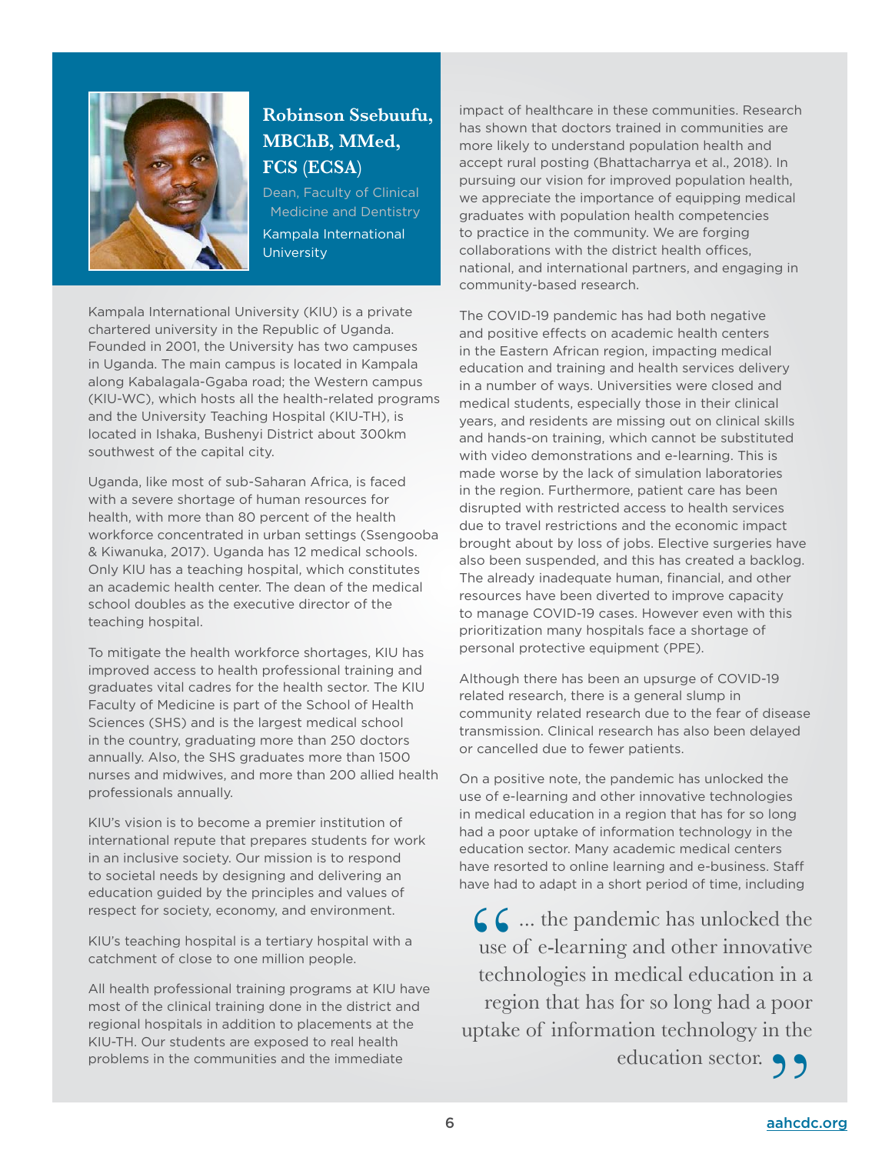

# **Robinson Ssebuufu, MBChB, MMed, FCS (ECSA)**

Dean, Faculty of Clinical Medicine and Dentistry Kampala International **University** 

Kampala International University (KIU) is a private chartered university in the Republic of Uganda. Founded in 2001, the University has two campuses in Uganda. The main campus is located in Kampala along Kabalagala-Ggaba road; the Western campus (KIU-WC), which hosts all the health-related programs and the University Teaching Hospital (KIU-TH), is located in Ishaka, Bushenyi District about 300km southwest of the capital city.

Uganda, like most of sub-Saharan Africa, is faced with a severe shortage of human resources for health, with more than 80 percent of the health workforce concentrated in urban settings (Ssengooba & Kiwanuka, 2017). Uganda has 12 medical schools. Only KIU has a teaching hospital, which constitutes an academic health center. The dean of the medical school doubles as the executive director of the teaching hospital.

To mitigate the health workforce shortages, KIU has improved access to health professional training and graduates vital cadres for the health sector. The KIU Faculty of Medicine is part of the School of Health Sciences (SHS) and is the largest medical school in the country, graduating more than 250 doctors annually. Also, the SHS graduates more than 1500 nurses and midwives, and more than 200 allied health professionals annually.

KIU's vision is to become a premier institution of international repute that prepares students for work in an inclusive society. Our mission is to respond to societal needs by designing and delivering an education guided by the principles and values of respect for society, economy, and environment.

KIU's teaching hospital is a tertiary hospital with a catchment of close to one million people.

All health professional training programs at KIU have most of the clinical training done in the district and regional hospitals in addition to placements at the KIU-TH. Our students are exposed to real health problems in the communities and the immediate

impact of healthcare in these communities. Research has shown that doctors trained in communities are more likely to understand population health and accept rural posting (Bhattacharrya et al., 2018). In pursuing our vision for improved population health, we appreciate the importance of equipping medical graduates with population health competencies to practice in the community. We are forging collaborations with the district health offices, national, and international partners, and engaging in community-based research.

The COVID-19 pandemic has had both negative and positive effects on academic health centers in the Eastern African region, impacting medical education and training and health services delivery in a number of ways. Universities were closed and medical students, especially those in their clinical years, and residents are missing out on clinical skills and hands-on training, which cannot be substituted with video demonstrations and e-learning. This is made worse by the lack of simulation laboratories in the region. Furthermore, patient care has been disrupted with restricted access to health services due to travel restrictions and the economic impact brought about by loss of jobs. Elective surgeries have also been suspended, and this has created a backlog. The already inadequate human, financial, and other resources have been diverted to improve capacity to manage COVID-19 cases. However even with this prioritization many hospitals face a shortage of personal protective equipment (PPE).

Although there has been an upsurge of COVID-19 related research, there is a general slump in community related research due to the fear of disease transmission. Clinical research has also been delayed or cancelled due to fewer patients.

On a positive note, the pandemic has unlocked the use of e-learning and other innovative technologies in medical education in a region that has for so long had a poor uptake of information technology in the education sector. Many academic medical centers have resorted to online learning and e-business. Staff have had to adapt in a short period of time, including

 $\bigcup$  ... the pandemic has unlocked the use of e-learning and other innovative technologies in medical education in a region that has for so long had a poor uptake of information technology in the

education sector.

6 [aahcdc.org](http://aahcdc.org)